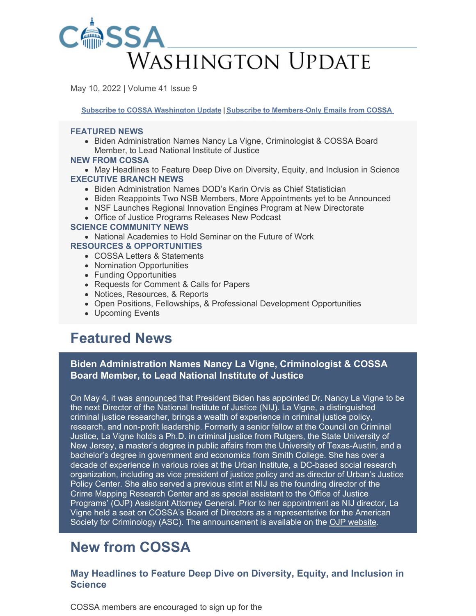

May 10, 2022 | Volume 41 Issue 9

**Subscribe to COSSA [Washington](https://www.cossa.org/washington-update/subscribe-update/) Update | Subscribe to [Members-Only](https://cossa.org/members/mm-subscribe/) Emails from COSSA**

#### **FEATURED NEWS**

• Biden Administration Names Nancy La Vigne, Criminologist & COSSA Board Member, to Lead National Institute of Justice

#### **NEW FROM COSSA**

• May Headlines to Feature Deep Dive on Diversity, Equity, and Inclusion in Science **EXECUTIVE BRANCH NEWS**

- Biden Administration Names DOD's Karin Orvis as Chief Statistician
- Biden Reappoints Two NSB Members, More Appointments yet to be Announced
- NSF Launches Regional Innovation Engines Program at New Directorate
- Office of Justice Programs Releases New Podcast

#### **SCIENCE COMMUNITY NEWS**

National Academies to Hold Seminar on the Future of Work **RESOURCES & OPPORTUNITIES**

- COSSA Letters & Statements
- Nomination Opportunities
- Funding Opportunities
- Requests for Comment & Calls for Papers
- Notices, Resources, & Reports
- Open Positions, Fellowships, & Professional Development Opportunities
- Upcoming Events

# **Featured News**

### **Biden Administration Names Nancy La Vigne, Criminologist & COSSA Board Member, to Lead National Institute of Justice**

On May 4, it was [announced](https://www.ojp.gov/news/news-release/president-biden-taps-nationally-renowned-criminal-justice-researcher-nancy-la-vigne) that President Biden has appointed Dr. Nancy La Vigne to be the next Director of the National Institute of Justice (NIJ). La Vigne, a distinguished criminal justice researcher, brings a wealth of experience in criminal justice policy, research, and non-profit leadership. Formerly a senior fellow at the Council on Criminal Justice, La Vigne holds a Ph.D. in criminal justice from Rutgers, the State University of New Jersey, a master's degree in public affairs from the University of Texas-Austin, and a bachelor's degree in government and economics from Smith College. She has over a decade of experience in various roles at the Urban Institute, a DC-based social research organization, including as vice president of justice policy and as director of Urban's Justice Policy Center. She also served a previous stint at NIJ as the founding director of the Crime Mapping Research Center and as special assistant to the Office of Justice Programs' (OJP) Assistant Attorney General. Prior to her appointment as NIJ director, La Vigne held a seat on COSSA's Board of Directors as a representative for the American Society for Criminology (ASC). The announcement is available on the OJP [website](https://www.ojp.gov/news/news-release/president-biden-taps-nationally-renowned-criminal-justice-researcher-nancy-la-vigne).

# **New from COSSA**

### **May Headlines to Feature Deep Dive on Diversity, Equity, and Inclusion in Science**

COSSA members are encouraged to sign up for the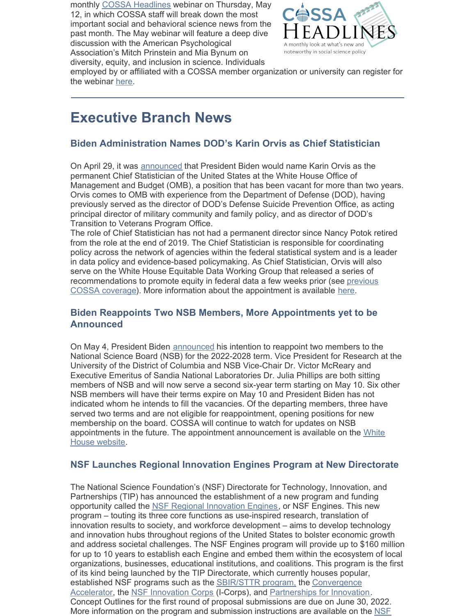monthly COSSA [Headlines](https://cossa.org/events/category/cossa-event/headlines/) webinar on Thursday, May 12, in which COSSA staff will break down the most important social and behavioral science news from the past month. The May webinar will feature a deep dive discussion with the American Psychological Association's Mitch Prinstein and Mia Bynum on diversity, equity, and inclusion in science. Individuals



employed by or affiliated with a COSSA member organization or university can register for the webinar [here](https://us06web.zoom.us/meeting/register/tZYofuutrjsoEt3MA6qhDN_XawklB19-7kos).

# **Executive Branch News**

#### **Biden Administration Names DOD's Karin Orvis as Chief Statistician**

On April 29, it was [announced](https://federalnewsnetwork.com/big-data/2022/04/omb-names-dods-suicide-prevention-director-as-chief-statistician-to-lead-data-goals/) that President Biden would name Karin Orvis as the permanent Chief Statistician of the United States at the White House Office of Management and Budget (OMB), a position that has been vacant for more than two years. Orvis comes to OMB with experience from the Department of Defense (DOD), having previously served as the director of DOD's Defense Suicide Prevention Office, as acting principal director of military community and family policy, and as director of DOD's Transition to Veterans Program Office.

The role of Chief Statistician has not had a permanent director since Nancy Potok retired from the role at the end of 2019. The Chief Statistician is responsible for coordinating policy across the network of agencies within the federal statistical system and is a leader in data policy and evidence-based policymaking. As Chief Statistician, Orvis will also serve on the White House Equitable Data Working Group that released a series of [recommendations](https://cossa.org/2022/04/26/equitable-data-working-group-releases-report/) to promote equity in federal data a few weeks prior (see previous COSSA coverage). More information about the appointment is available [here](https://federalnewsnetwork.com/big-data/2022/04/omb-names-dods-suicide-prevention-director-as-chief-statistician-to-lead-data-goals/).

#### **Biden Reappoints Two NSB Members, More Appointments yet to be Announced**

On May 4, President Biden [announced](https://www.whitehouse.gov/briefing-room/statements-releases/2022/05/04/president-biden-announces-appointments-to-the-presidents-intelligence-advisory-board-and-the-national-science-board/) his intention to reappoint two members to the National Science Board (NSB) for the 2022-2028 term. Vice President for Research at the University of the District of Columbia and NSB Vice-Chair Dr. Victor McReary and Executive Emeritus of Sandia National Laboratories Dr. Julia Phillips are both sitting members of NSB and will now serve a second six-year term starting on May 10. Six other NSB members will have their terms expire on May 10 and President Biden has not indicated whom he intends to fill the vacancies. Of the departing members, three have served two terms and are not eligible for reappointment, opening positions for new membership on the board. COSSA will continue to watch for updates on NSB appointments in the future. The appointment [announcement](https://www.whitehouse.gov/briefing-room/statements-releases/2022/05/04/president-biden-announces-appointments-to-the-presidents-intelligence-advisory-board-and-the-national-science-board/) is available on the White House website.

#### **NSF Launches Regional Innovation Engines Program at New Directorate**

The National Science Foundation's (NSF) Directorate for Technology, Innovation, and Partnerships (TIP) has announced the establishment of a new program and funding opportunity called the NSF Regional [Innovation](https://beta.nsf.gov/funding/initiatives/regional-innovation-engines) Engines, or NSF Engines. This new program – touting its three core functions as use-inspired research, translation of innovation results to society, and workforce development – aims to develop technology and innovation hubs throughout regions of the United States to bolster economic growth and address societal challenges. The NSF Engines program will provide up to \$160 million for up to 10 years to establish each Engine and embed them within the ecosystem of local organizations, businesses, educational institutions, and coalitions. This program is the first of its kind being launched by the TIP Directorate, which currently houses popular, established NSF programs such as the [SBIR/STTR](https://seedfund.nsf.gov/) program, the [Convergence](https://beta.nsf.gov/funding/initiatives/convergence-accelerator) Accelerator, the NSF [Innovation](https://www.nsf.gov/news/special_reports/i-corps/) Corps (I-Corps), and [Partnerships](https://www.nsf.gov/eng/iip/pfi/index.jsp) for Innovation. Concept Outlines for the first round of proposal submissions are due on June 30, 2022. More information on the program and submission [instructions](https://beta.nsf.gov/funding/initiatives/regional-innovation-engines) are available on the NSF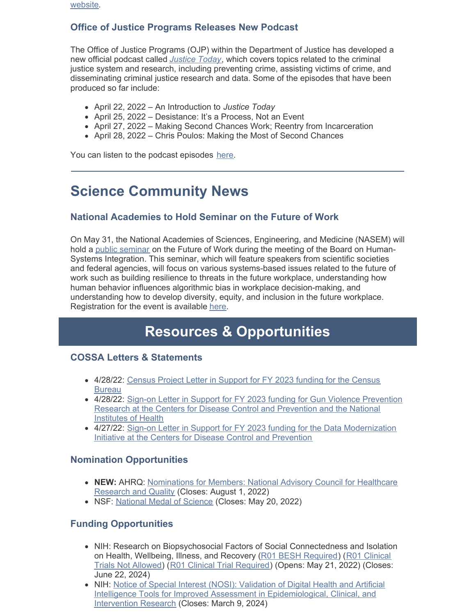website.

## **Office of Justice Programs Releases New Podcast**

The Office of Justice Programs (OJP) within the Department of Justice has developed a new official podcast called *[Justice](https://www.buzzsprout.com/1861872) Today*, which covers topics related to the criminal justice system and research, including preventing crime, assisting victims of crime, and disseminating criminal justice research and data. Some of the episodes that have been produced so far include:

- April 22, 2022 An Introduction to *Justice Today*
- April 25, 2022 Desistance: It's a Process, Not an Event
- April 27, 2022 Making Second Chances Work; Reentry from Incarceration
- April 28, 2022 Chris Poulos: Making the Most of Second Chances

You can listen to the podcast episodes [here](https://www.buzzsprout.com/1861872).

# **Science Community News**

### **National Academies to Hold Seminar on the Future of Work**

On May 31, the National Academies of Sciences, Engineering, and Medicine (NASEM) will hold a public [seminar](https://www.nationalacademies.org/event/05-31-2022/the-future-of-work) on the Future of Work during the meeting of the Board on Human-Systems Integration. This seminar, which will feature speakers from scientific societies and federal agencies, will focus on various systems-based issues related to the future of work such as building resilience to threats in the future workplace, understanding how human behavior influences algorithmic bias in workplace decision-making, and understanding how to develop diversity, equity, and inclusion in the future workplace. Registration for the event is available [here](https://www.eventbrite.com/e/the-future-of-work-tickets-329102794317).

# **Resources & Opportunities**

#### **COSSA Letters & Statements**

- [4/28/22:](https://cossa.org/wp-content/uploads/2022/05/Census-Project-FY-23-Sign-on-4-28-22.pdf) Census Project Letter in Support for FY 2023 funding for the Census **Bureau**
- 4/28/22: Sign-on Letter in Support for FY 2023 funding for Gun Violence Prevention Research at the Centers for Disease Control and [Prevention](https://cossa.org/wp-content/uploads/2022/05/GVP-Research-Funding-Letter-FY2023-Final.pdf) and the National Institutes of Health
- 4/27/22: Sign-on Letter in Support for FY 2023 funding for the Data [Modernization](https://cossa.org/wp-content/uploads/2022/05/FY23-Appropriations-Sign-on-Letter_DMI-and-CFA.pdf) Initiative at the Centers for Disease Control and Prevention

#### **Nomination Opportunities**

- **NEW:** AHRQ: [Nominations](https://www.federalregister.gov/documents/2022/05/06/2022-09728/national-advisory-council-for-healthcare-research-and-quality-request-for-nominations-for-members) for Members: National Advisory Council for Healthcare Research and Quality (Closes: August 1, 2022)
- NSF: [National](https://www.nsf.gov/od/nms/nominations.jsp) Medal of Science (Closes: May 20, 2022)

### **Funding Opportunities**

- NIH: Research on Biopsychosocial Factors of Social Connectedness and Isolation on Health, [Wellbeing,](https://grants.nih.gov/grants/guide/pa-files/PAR-21-350.html) Illness, and Recovery (R01 BESH [Required](https://grants.nih.gov/grants/guide/pa-files/PAR-21-349.html)) (R01 Clinical Trials Not Allowed) (R01 Clinical Trial [Required](https://grants.nih.gov/grants/guide/pa-files/PAR-21-352.html)) (Opens: May 21, 2022) (Closes: June 22, 2024)
- NIH: Notice of Special Interest (NOSI): Validation of Digital Health and Artificial Intelligence Tools for Improved Assessment in [Epidemiological,](https://grants.nih.gov/grants/guide/notice-files/NOT-CA-22-037.html) Clinical, and Intervention Research (Closes: March 9, 2024)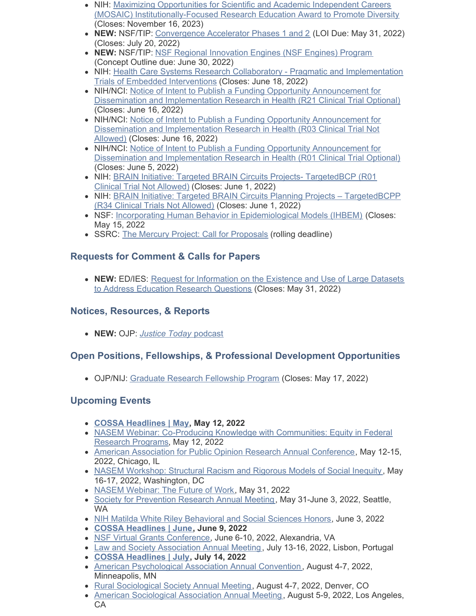- NIH: Maximizing Opportunities for Scientific and Academic Independent Careers (MOSAIC) [Institutionally-Focused](https://grants.nih.gov/grants/guide/pa-files/PAR-21-277.html) Research Education Award to Promote Diversity (Closes: November 16, 2023)
- **NEW:** NSF/TIP: [Convergence](https://beta.nsf.gov/funding/initiatives/convergence-accelerator/updates/funding-opportunity-nsf-convergence-0) Accelerator Phases 1 and 2 (LOI Due: May 31, 2022) (Closes: July 20, 2022)
- **NEW:** NSF/TIP: NSF Regional [Innovation](https://www.nsf.gov/pubs/2022/nsf22082/nsf22082.jsp) Engines (NSF Engines) Program (Concept Outline due: June 30, 2022)
- NIH: Health Care Systems Research Collaboratory Pragmatic and [Implementation](https://grants.nih.gov/grants/guide/rfa-files/RFA-AT-22-001.html) Trials of Embedded Interventions (Closes: June 18, 2022)
- NIH/NCI: Notice of Intent to Publish a Funding Opportunity [Announcement](https://grants.nih.gov/grants/guide/notice-files/NOT-CA-22-043.html) for Dissemination and Implementation Research in Health (R21 Clinical Trial Optional) (Closes: June 16, 2022)
- NIH/NCI: Notice of Intent to Publish a Funding Opportunity Announcement for Dissemination and [Implementation](https://grants.nih.gov/grants/guide/notice-files/NOT-CA-22-044.html) Research in Health (R03 Clinical Trial Not Allowed) (Closes: June 16, 2022)
- NIH/NCI: Notice of Intent to Publish a Funding Opportunity [Announcement](https://grants.nih.gov/grants/guide/notice-files/NOT-CA-22-042.html) for Dissemination and Implementation Research in Health (R01 Clinical Trial Optional) (Closes: June 5, 2022)
- NIH: BRAIN Initiative: Targeted BRAIN Circuits Projects- [TargetedBCP](https://grants.nih.gov/grants/guide/rfa-files/RFA-NS-22-026.html) (R01) Clinical Trial Not Allowed) (Closes: June 1, 2022)
- NIH: **BRAIN Initiative: Targeted BRAIN Circuits Planning Projects [TargetedBCPP](https://grants.nih.gov/grants/guide/rfa-files/RFA-NS-22-027.html)** (R34 Clinical Trials Not Allowed) (Closes: June 1, 2022)
- NSF: Incorporating Human Behavior in [Epidemiological](https://www.nsf.gov/pubs/2022/nsf22054/nsf22054.pdf) Models (IHBEM) (Closes: May 15, 2022
- SSRC: The Mercury Project: Call for [Proposals](https://www.ssrc.org/programs/the-mercury-project/call-for-proposals/) (rolling deadline)

## **Requests for Comment & Calls for Papers**

**NEW:** ED/IES: Request for [Information](https://www.federalregister.gov/documents/2022/04/29/2022-09239/request-for-information-on-the-existence-and-use-of-large-datasets-to-address-education-research) on the Existence and Use of Large Datasets to Address Education Research Questions (Closes: May 31, 2022)

# **Notices, Resources, & Reports**

**NEW:** OJP: *[Justice](https://www.buzzsprout.com/1861872) Today* [podcast](https://www.buzzsprout.com/1861872)

# **Open Positions, Fellowships, & Professional Development Opportunities**

• OJP/NIJ: Graduate Research [Fellowship](https://nij.ojp.gov/funding/fellowships/graduate-research-fellowship-program) Program (Closes: May 17, 2022)

## **Upcoming Events**

- **COSSA [Headlines](https://cossa.org/event/cossa-headlines-2022-05-12/2022-05-12/) | May, May 12, 2022**
- NASEM Webinar: Co-Producing Knowledge with [Communities:](https://www.eventbrite.com/e/coproducing-knowledge-with-communities-equity-in-federal-research-programs-tickets-320958143447) Equity in Federal Research Programs, May 12, 2022
- American Association for Public Opinion Research Annual [Conference](https://www.aapor.org/Conference-Events/Annual-Meeting.aspx), May 12-15, 2022, Chicago, IL
- NASEM [Workshop:](https://www.nationalacademies.org/our-work/structural-racism-and-rigorous-models-of-social-inequity-a-workshop) Structural Racism and Rigorous Models of Social Inequity, May 16-17, 2022, Washington, DC
- NASEM [Webinar:](https://www.eventbrite.com/e/the-future-of-work-tickets-329102794317) The Future of Work, May 31, 2022
- Society for [Prevention](https://www.preventionresearch.org/2022-annual-meeting/) Research Annual Meeting, May 31-June 3, 2022, Seattle, WA
- NIH Matilda White Riley [Behavioral](https://obssr.od.nih.gov/news-and-events/events/15th-nih-matilda-white-riley-behavioral-and-social-sciences-honors) and Social Sciences Honors, June 3, 2022
- **COSSA [Headlines](https://cossa.org/event/cossa-headlines-2022-05-12/2022-06-09/) | June, June 9, 2022**
- NSF Virtual Grants [Conference](https://www.nsf.gov/events/event_summ.jsp?cntn_id=304696), June 6-10, 2022, Alexandria, VA
- Law and Society [Association](https://www.lawandsociety.org/lisbon-2022-homepage/) Annual Meeting, July 13-16, 2022, Lisbon, Portugal
- **COSSA [Headlines](https://cossa.org/event/cossa-headlines-2022-06-09/2022-07-14/) | July, July 14, 2022**
- American [Psychological](https://convention.apa.org/) Association Annual Convention , August 4-7, 2022, Minneapolis, MN
- Rural [Sociological](https://rss.memberclicks.net/index.php?option=com_jevents&task=icalrepeat.detail&evid=24&Itemid=1&year=2022&month=08&day=04&title=2022-annual-meeting-of-the-rural-sociological-society&uid=2a736cc771457b735234bea7e456e313) Society Annual Meeting, August 4-7, 2022, Denver, CO
- American [Sociological](https://www.asanet.org/annual-meeting/2022-annual-meeting) Association Annual Meeting, August 5-9, 2022, Los Angeles, CA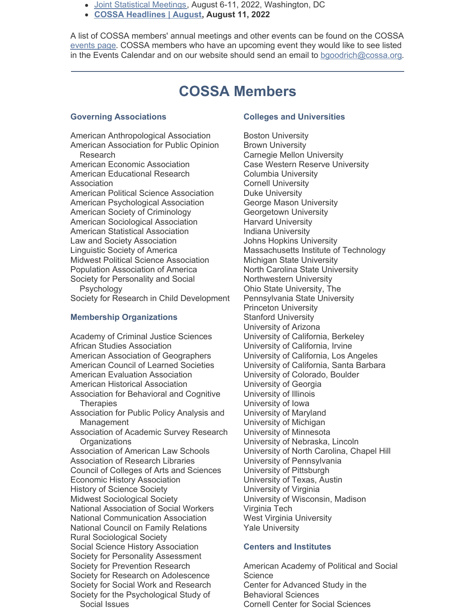- Joint [Statistical](https://www.amstat.org/meetings/joint-statistical-meetings) Meetings, August 6-11, 2022, Washington, DC
- **COSSA [Headlines](https://cossa.org/event/cossa-headlines/2022-08-11/) | August, August 11, 2022**

A list of COSSA members' annual meetings and other events can be found on the COSSA [events](http://r20.rs6.net/tn.jsp?t=7h6by74ab.0.0.5hidabdab.0&id=preview&r=3&p=http%3A%2F%2Fwww.cossa.org%2Fevents%2F) page. COSSA members who have an upcoming event they would like to see listed in the Events Calendar and on our website should send an email to [bgoodrich@cossa.org](mailto:bgoodrich@cossa.org).

# **COSSA Members**

#### **Governing Associations**

American Anthropological Association American Association for Public Opinion Research American Economic Association American Educational Research Association American Political Science Association American Psychological Association American Society of Criminology American Sociological Association American Statistical Association Law and Society Association Linguistic Society of America Midwest Political Science Association Population Association of America Society for Personality and Social Psychology Society for Research in Child Development

#### **Membership Organizations**

Academy of Criminal Justice Sciences African Studies Association American Association of Geographers American Council of Learned Societies American Evaluation Association American Historical Association Association for Behavioral and Cognitive **Therapies** Association for Public Policy Analysis and **Management** Association of Academic Survey Research **Organizations** Association of American Law Schools Association of Research Libraries Council of Colleges of Arts and Sciences Economic History Association History of Science Society Midwest Sociological Society National Association of Social Workers National Communication Association National Council on Family Relations Rural Sociological Society Social Science History Association Society for Personality Assessment Society for Prevention Research Society for Research on Adolescence Society for Social Work and Research Society for the Psychological Study of Social Issues

#### **Colleges and Universities**

Boston University Brown University Carnegie Mellon University Case Western Reserve University Columbia University Cornell University Duke University George Mason University Georgetown University Harvard University Indiana University Johns Hopkins University Massachusetts Institute of Technology Michigan State University North Carolina State University Northwestern University Ohio State University, The Pennsylvania State University Princeton University Stanford University University of Arizona University of California, Berkeley University of California, Irvine University of California, Los Angeles University of California, Santa Barbara University of Colorado, Boulder University of Georgia University of Illinois University of Iowa University of Maryland University of Michigan University of Minnesota University of Nebraska, Lincoln University of North Carolina, Chapel Hill University of Pennsylvania University of Pittsburgh University of Texas, Austin University of Virginia University of Wisconsin, Madison Virginia Tech West Virginia University Yale University

#### **Centers and Institutes**

American Academy of Political and Social **Science** Center for Advanced Study in the Behavioral Sciences Cornell Center for Social Sciences